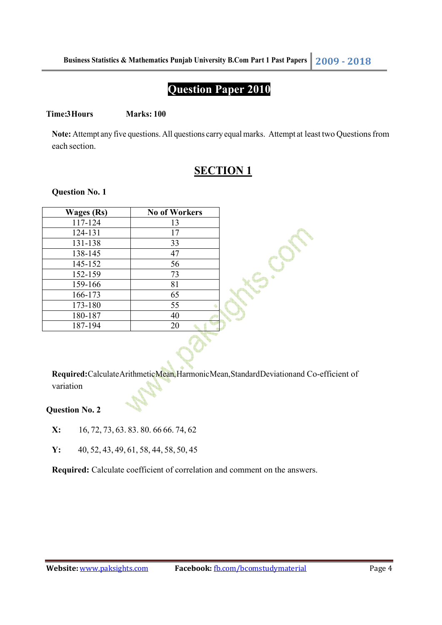# **Question Paper 2010**

#### **Time:3 Hours** Marks: 100

**Note:** Attempt any five questions. All questions carry equal marks. Attempt at least two Questions from each section.

## **SECTION 1**

#### **Question No. 1**

| <b>Wages (Rs)</b> | <b>No of Workers</b> |  |
|-------------------|----------------------|--|
| 117-124           | 13                   |  |
| 124-131           | 17                   |  |
| 131-138           | 33                   |  |
| 138-145           | 47                   |  |
| 145-152           | 56                   |  |
| 152-159           | 73                   |  |
| 159-166           | 81                   |  |
| 166-173           | 65                   |  |
| 173-180           | 55                   |  |
| 180-187           | 40                   |  |
| 187-194           | 20                   |  |

**Required:** Calculate Arithmetic Mean, Harmonic Mean, Standard Deviation and Co-efficient of variation

#### **Question No. 2**

- **X:** 16, 72, 73, 63. 83. 80. 66 66. 74, 62
- **Y:** 40, 52, 43, 49, 61, 58, 44, 58, 50, 45

**Required:** Calculate coefficient of correlation and comment on the answers.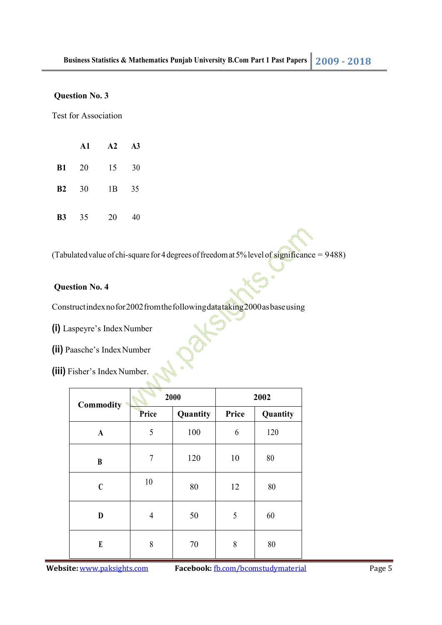#### **Question No. 3**

Test for Association

|           | A1 | ${\bf A2}$ | A3 |
|-----------|----|------------|----|
| <b>B1</b> | 20 | 15         | 30 |
| B2        | 30 | 1B         | 35 |
| <b>B3</b> | 35 | 20         | 40 |

(Tabulated value of chi-square for 4 degrees of freedom at 5% level of significance = 9488)

#### **Question No. 4**

Construct index no for 2002 from the following data taking 2000 as base using

- **(i)** Laspeyre's Index Number
- **(ii)** Paasche's Index Number
- **(iii)** Fisher's Index Number.

| <b>Commodity</b> | 2000  |          | 2002  |          |
|------------------|-------|----------|-------|----------|
|                  | Price | Quantity | Price | Quantity |
| $\mathbf{A}$     | 5     | 100      | 6     | 120      |
| $\bf{B}$         | 7     | 120      | 10    | 80       |
| $\mathbf C$      | 10    | 80       | 12    | 80       |
| D                | 4     | 50       | 5     | 60       |
| E                | 8     | 70       | 8     | 80       |